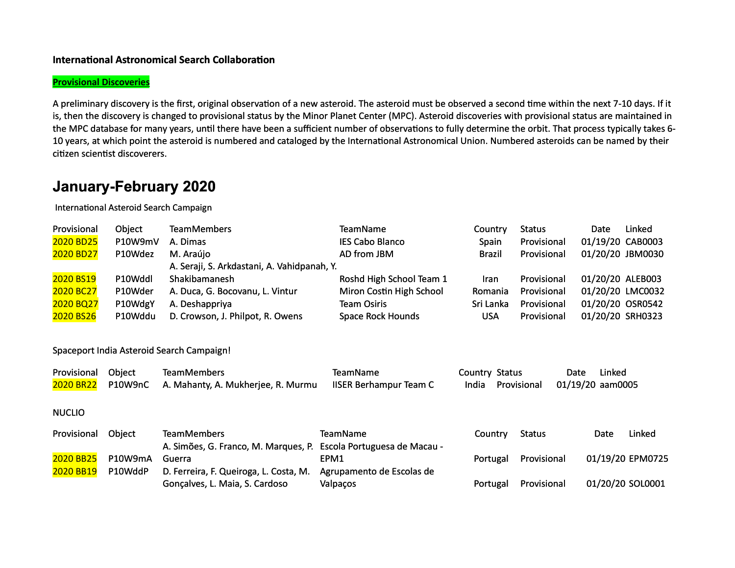### **International Astronomical Search Collaboration**

#### **Provisional Discoveries**

A preliminary discovery is the first, original observation of a new asteroid. The asteroid must be observed a second time within the next 7-10 days. If it is, then the discovery is changed to provisional status by the Minor Planet Center (MPC). Asteroid discoveries with provisional status are maintained in the MPC database for many years, until there have been a sufficient number of observations to fully determine the orbit. That process typically takes 6-10 years, at which point the asteroid is numbered and cataloged by the International Astronomical Union. Numbered asteroids can be named by their citizen scientist discoverers.

### **January-February 2020**

International Asteroid Search Campaign

| Provisional | Object  | <b>TeamMembers</b>                          | <b>TeamName</b>          | Country       | <b>Status</b> | Date             | Linked |
|-------------|---------|---------------------------------------------|--------------------------|---------------|---------------|------------------|--------|
| 2020 BD25   | P10W9mV | A. Dimas                                    | <b>IES Cabo Blanco</b>   | Spain         | Provisional   | 01/19/20 CAB0003 |        |
| 2020 BD27   | P10Wdez | M. Araújo                                   | AD from JBM              | <b>Brazil</b> | Provisional   | 01/20/20 JBM0030 |        |
|             |         | A. Seraji, S. Arkdastani, A. Vahidpanah, Y. |                          |               |               |                  |        |
| 2020 BS19   | P10Wddl | Shakibamanesh                               | Roshd High School Team 1 | Iran          | Provisional   | 01/20/20 ALEB003 |        |
| 2020 BC27   | P10Wder | A. Duca, G. Bocovanu, L. Vintur             | Miron Costin High School | Romania       | Provisional   | 01/20/20 LMC0032 |        |
| 2020 BQ27   | P10WdgY | A. Deshappriya                              | <b>Team Osiris</b>       | Sri Lanka     | Provisional   | 01/20/20 OSR0542 |        |
| 2020 BS26   | P10Wddu | D. Crowson, J. Philpot, R. Owens            | <b>Space Rock Hounds</b> | <b>USA</b>    | Provisional   | 01/20/20 SRH0323 |        |
|             |         |                                             |                          |               |               |                  |        |

#### Spaceport India Asteroid Search Campaign!

| Provisional Object | <b>TeamMembers</b>                                   | TeamName                      | Country Status                     | Date | Linked |
|--------------------|------------------------------------------------------|-------------------------------|------------------------------------|------|--------|
|                    | 2020 BR22 P10W9nC A. Mahanty, A. Mukherjee, R. Murmu | <b>IISER Berhampur Team C</b> | India Provisional 01/19/20 aam0005 |      |        |

#### NUCLIO

| Provisional | Obiect  | <b>TeamMembers</b>                                                | <b>TeamName</b>           | Countrv  | <b>Status</b> | Date | Linked           |
|-------------|---------|-------------------------------------------------------------------|---------------------------|----------|---------------|------|------------------|
|             |         | A. Simões, G. Franco, M. Marques, P. Escola Portuguesa de Macau - |                           |          |               |      |                  |
| 2020 BB25   | P10W9mA | Guerra                                                            | EPM1                      | Portugal | Provisional   |      | 01/19/20 EPM0725 |
| 2020 BB19   | P10WddP | D. Ferreira, F. Queiroga, L. Costa, M.                            | Agrupamento de Escolas de |          |               |      |                  |
|             |         | Gonçalves, L. Maia, S. Cardoso                                    | Valpaços                  | Portugal | Provisional   |      | 01/20/20 SOL0001 |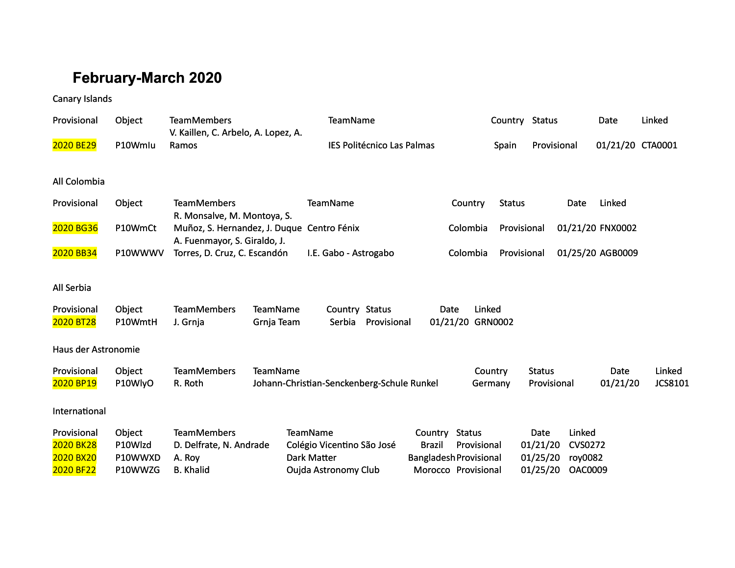# **February-March 2020**

### Canary Islands

| Provisional                                                      | Object                                  | <b>TeamMembers</b><br>V. Kaillen, C. Arbelo, A. Lopez, A.                   |                        | TeamName                                                                                           |                            |                          |                                                                                      | Country Status     |                                          |                                                       | Date             | Linked            |
|------------------------------------------------------------------|-----------------------------------------|-----------------------------------------------------------------------------|------------------------|----------------------------------------------------------------------------------------------------|----------------------------|--------------------------|--------------------------------------------------------------------------------------|--------------------|------------------------------------------|-------------------------------------------------------|------------------|-------------------|
| 2020 BE29                                                        | P10Wmlu                                 | Ramos                                                                       |                        |                                                                                                    | IES Politécnico Las Palmas |                          |                                                                                      | Spain              | Provisional                              |                                                       | 01/21/20 CTA0001 |                   |
| All Colombia                                                     |                                         |                                                                             |                        |                                                                                                    |                            |                          |                                                                                      |                    |                                          |                                                       |                  |                   |
| Provisional                                                      | Object                                  | <b>TeamMembers</b><br>R. Monsalve, M. Montoya, S.                           |                        | TeamName                                                                                           |                            |                          | Country                                                                              | <b>Status</b>      |                                          | Date                                                  | Linked           |                   |
| 2020 BG36                                                        | P10WmCt                                 | Muñoz, S. Hernandez, J. Duque Centro Fénix<br>A. Fuenmayor, S. Giraldo, J.  |                        |                                                                                                    |                            |                          | Colombia                                                                             | Provisional        |                                          |                                                       | 01/21/20 FNX0002 |                   |
| 2020 BB34                                                        | P10WWWV                                 | Torres, D. Cruz, C. Escandón                                                |                        | I.E. Gabo - Astrogabo                                                                              |                            |                          | Colombia                                                                             | Provisional        |                                          |                                                       | 01/25/20 AGB0009 |                   |
| All Serbia                                                       |                                         |                                                                             |                        |                                                                                                    |                            |                          |                                                                                      |                    |                                          |                                                       |                  |                   |
| Provisional<br>2020 BT28                                         | Object<br>P10WmtH                       | <b>TeamMembers</b><br>J. Grnja                                              | TeamName<br>Grnja Team | Country Status<br>Serbia                                                                           | Provisional                |                          | Linked<br>Date<br>01/21/20 GRN0002                                                   |                    |                                          |                                                       |                  |                   |
| Haus der Astronomie                                              |                                         |                                                                             |                        |                                                                                                    |                            |                          |                                                                                      |                    |                                          |                                                       |                  |                   |
| Provisional<br>2020 BP19                                         | Object<br>P10WlyO                       | <b>TeamMembers</b><br>R. Roth                                               | TeamName               | Johann-Christian-Senckenberg-Schule Runkel                                                         |                            |                          |                                                                                      | Country<br>Germany | <b>Status</b><br>Provisional             |                                                       | Date<br>01/21/20 | Linked<br>JCS8101 |
| International                                                    |                                         |                                                                             |                        |                                                                                                    |                            |                          |                                                                                      |                    |                                          |                                                       |                  |                   |
| Provisional<br><b>2020 BK28</b><br><b>2020 BX20</b><br>2020 BF22 | Object<br>P10Wlzd<br>P10WWXD<br>P10WWZG | <b>TeamMembers</b><br>D. Delfrate, N. Andrade<br>A. Roy<br><b>B.</b> Khalid |                        | <b>TeamName</b><br>Colégio Vicentino São José<br><b>Dark Matter</b><br><b>Oujda Astronomy Club</b> |                            | Country<br><b>Brazil</b> | <b>Status</b><br>Provisional<br><b>Bangladesh Provisional</b><br>Morocco Provisional |                    | Date<br>01/21/20<br>01/25/20<br>01/25/20 | Linked<br><b>CVS0272</b><br>roy0082<br><b>OAC0009</b> |                  |                   |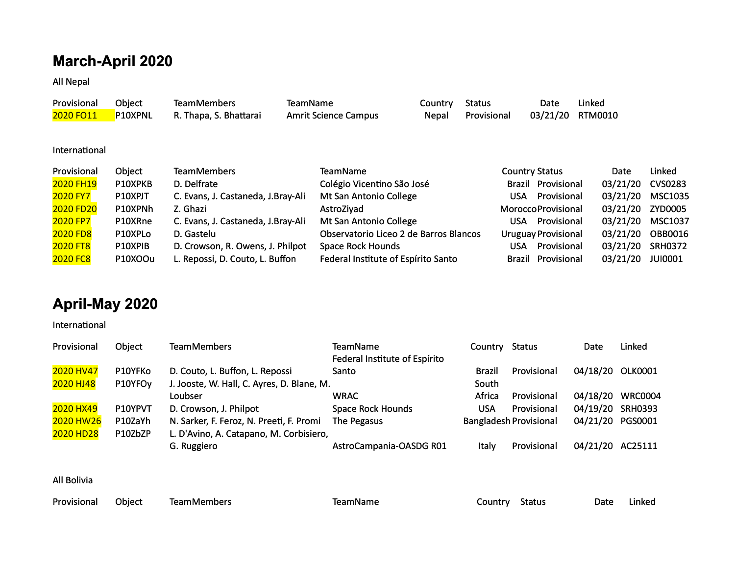## **March-April 2020**

**All Nepal** 

| Provisional | Obiect  | <b>TeamMembers</b>     | <b>TeamName</b>             | Country | Status      | Date             | Linked |
|-------------|---------|------------------------|-----------------------------|---------|-------------|------------------|--------|
| 2020 FO11   | P10XPNL | R. Thapa, S. Bhattarai | <b>Amrit Science Campus</b> | Nepal   | Provisional | 03/21/20 RTM0010 |        |
|             |         |                        |                             |         |             |                  |        |

International

| Provisional      | Object  | <b>TeamMembers</b>                  | <b>TeamName</b>                        | <b>Country Status</b>      | Date     | Linked         |
|------------------|---------|-------------------------------------|----------------------------------------|----------------------------|----------|----------------|
| 2020 FH19        | P10XPKB | D. Delfrate                         | Colégio Vicentino São José             | <b>Brazil Provisional</b>  | 03/21/20 | <b>CVS0283</b> |
| <b>2020 FY7</b>  | P10XPJT | C. Evans, J. Castaneda, J. Bray-Ali | Mt San Antonio College                 | Provisional<br>USA         | 03/21/20 | <b>MSC1035</b> |
| <b>2020 FD20</b> | P10XPNh | Z. Ghazi                            | AstroZiyad                             | <b>MoroccoProvisional</b>  | 03/21/20 | <b>ZYD0005</b> |
| <b>2020 FP7</b>  | P10XRne | C. Evans, J. Castaneda, J. Bray-Ali | Mt San Antonio College                 | Provisional<br>USA         | 03/21/20 | <b>MSC1037</b> |
| <b>2020 FD8</b>  | P10XPLo | D. Gastelu                          | Observatorio Liceo 2 de Barros Blancos | <b>Uruguay Provisional</b> | 03/21/20 | <b>OBB0016</b> |
| 2020 FT8         | P10XPIB | D. Crowson, R. Owens, J. Philpot    | Space Rock Hounds                      | Provisional<br>USA         | 03/21/20 | <b>SRH0372</b> |
| <b>2020 FC8</b>  | P10XOOu | L. Repossi, D. Couto, L. Buffon     | Federal Institute of Espírito Santo    | <b>Brazil Provisional</b>  | 03/21/20 | <b>JUI0001</b> |

## **April-May 2020**

International

| Provisional                      | Object  | <b>TeamMembers</b>                         | TeamName                      | Country       | Status                        | Date             | Linked         |
|----------------------------------|---------|--------------------------------------------|-------------------------------|---------------|-------------------------------|------------------|----------------|
|                                  |         |                                            | Federal Institute of Espírito |               |                               |                  |                |
| 2020 HV47                        | P10YFKo | D. Couto, L. Buffon, L. Repossi            | Santo                         | <b>Brazil</b> | Provisional                   | 04/18/20         | <b>OLK0001</b> |
| 2020 HJ48<br>P10YFO <sub>V</sub> |         | J. Jooste, W. Hall, C. Ayres, D. Blane, M. |                               | South         |                               |                  |                |
|                                  |         | Loubser                                    | <b>WRAC</b>                   | Africa        | Provisional                   | 04/18/20         | <b>WRC0004</b> |
| 2020 HX49                        | P10YPVT | D. Crowson, J. Philpot                     | <b>Space Rock Hounds</b>      | <b>USA</b>    | Provisional                   | 04/19/20 SRH0393 |                |
| 2020 HW26                        | P10ZaYh | N. Sarker, F. Feroz, N. Preeti, F. Promi   | The Pegasus                   |               | <b>Bangladesh Provisional</b> | 04/21/20         | PGS0001        |
| 2020 HD28                        | P10ZbZP | L. D'Avino, A. Catapano, M. Corbisiero,    |                               |               |                               |                  |                |
|                                  |         | G. Ruggiero                                | AstroCampania-OASDG R01       | Italy         | Provisional                   | 04/21/20         | AC25111        |

**All Bolivia** 

| Provisional Object | TeamMembers | TeamName | Country Status | Date | Linked |
|--------------------|-------------|----------|----------------|------|--------|
|                    |             |          |                |      |        |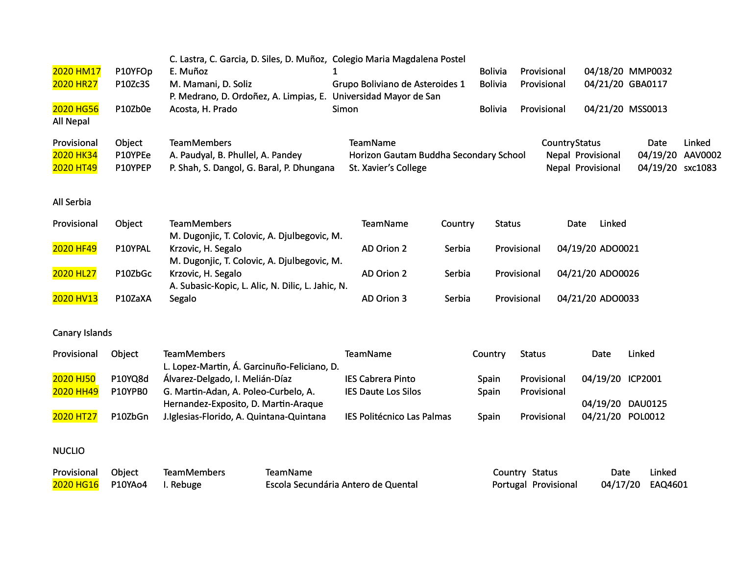| 2020 HM17<br>2020 HR27                | P10YFOp<br>P10Zc3S           | C. Lastra, C. Garcia, D. Siles, D. Muñoz, Colegio Maria Magdalena Postel<br>E. Muñoz<br>M. Mamani, D. Soliz<br>P. Medrano, D. Ordoñez, A. Limpias, E. Universidad Mayor de San |                                                 |       | Grupo Boliviano de Asteroides 1                                            |         | <b>Bolivia</b><br><b>Bolivia</b> | Provisional<br>Provisional             |                      | 04/21/20 GBA0117                       | 04/18/20 MMP0032                     |                   |
|---------------------------------------|------------------------------|--------------------------------------------------------------------------------------------------------------------------------------------------------------------------------|-------------------------------------------------|-------|----------------------------------------------------------------------------|---------|----------------------------------|----------------------------------------|----------------------|----------------------------------------|--------------------------------------|-------------------|
| 2020 HG56<br>All Nepal                | P10Zb0e                      | Acosta, H. Prado                                                                                                                                                               |                                                 | Simon |                                                                            |         | <b>Bolivia</b>                   | Provisional                            |                      | 04/21/20 MSS0013                       |                                      |                   |
| Provisional<br>2020 HK34<br>2020 HT49 | Object<br>P10YPEe<br>P10YPEP | <b>TeamMembers</b><br>A. Paudyal, B. Phullel, A. Pandey<br>P. Shah, S. Dangol, G. Baral, P. Dhungana                                                                           |                                                 |       | TeamName<br>Horizon Gautam Buddha Secondary School<br>St. Xavier's College |         |                                  |                                        | <b>CountryStatus</b> | Nepal Provisional<br>Nepal Provisional | Date<br>04/19/20<br>04/19/20 sxc1083 | Linked<br>AAV0002 |
| All Serbia                            |                              |                                                                                                                                                                                |                                                 |       |                                                                            |         |                                  |                                        |                      |                                        |                                      |                   |
| Provisional                           | Object                       | <b>TeamMembers</b><br>M. Dugonjic, T. Colovic, A. Djulbegovic, M.                                                                                                              |                                                 |       | <b>TeamName</b>                                                            | Country | <b>Status</b>                    |                                        | Date                 | Linked                                 |                                      |                   |
| 2020 HF49                             | P10YPAL                      | Krzovic, H. Segalo<br>M. Dugonjic, T. Colovic, A. Djulbegovic, M.                                                                                                              |                                                 |       | AD Orion 2                                                                 | Serbia  |                                  | Provisional                            |                      | 04/19/20 ADO0021                       |                                      |                   |
| 2020 HL27                             | P10ZbGc                      | Krzovic, H. Segalo<br>A. Subasic-Kopic, L. Alic, N. Dilic, L. Jahic, N.                                                                                                        |                                                 |       | AD Orion 2                                                                 | Serbia  |                                  | Provisional                            |                      | 04/21/20 ADO0026                       |                                      |                   |
| 2020 HV13                             | P10ZaXA                      | Segalo                                                                                                                                                                         |                                                 |       | AD Orion 3                                                                 | Serbia  |                                  | Provisional                            |                      | 04/21/20 ADO0033                       |                                      |                   |
| Canary Islands                        |                              |                                                                                                                                                                                |                                                 |       |                                                                            |         |                                  |                                        |                      |                                        |                                      |                   |
| Provisional                           | Object                       | <b>TeamMembers</b><br>L. Lopez-Martin, Á. Garcinuño-Feliciano, D.                                                                                                              |                                                 |       | <b>TeamName</b>                                                            |         | Country                          | <b>Status</b>                          |                      | Date                                   | Linked                               |                   |
| 2020 HJ50                             | P10YQ8d                      | Álvarez-Delgado, I. Melián-Díaz                                                                                                                                                |                                                 |       | <b>IES Cabrera Pinto</b>                                                   |         | Spain                            | Provisional                            |                      | 04/19/20 ICP2001                       |                                      |                   |
| 2020 HH49                             | P10YPB0                      | G. Martin-Adan, A. Poleo-Curbelo, A.<br>Hernandez-Exposito, D. Martin-Araque                                                                                                   |                                                 |       | <b>IES Daute Los Silos</b>                                                 |         | Spain                            | Provisional                            |                      | 04/19/20 DAU0125                       |                                      |                   |
| 2020 HT27                             | P10ZbGn                      | J.Iglesias-Florido, A. Quintana-Quintana                                                                                                                                       |                                                 |       | IES Politécnico Las Palmas                                                 |         | Spain                            | Provisional                            |                      | 04/21/20 POL0012                       |                                      |                   |
| <b>NUCLIO</b>                         |                              |                                                                                                                                                                                |                                                 |       |                                                                            |         |                                  |                                        |                      |                                        |                                      |                   |
| Provisional<br>2020 HG16              | Object<br>P10YAo4            | <b>TeamMembers</b><br>I. Rebuge                                                                                                                                                | TeamName<br>Escola Secundária Antero de Quental |       |                                                                            |         |                                  | Country Status<br>Portugal Provisional |                      | Date<br>04/17/20                       | Linked<br>EAQ4601                    |                   |